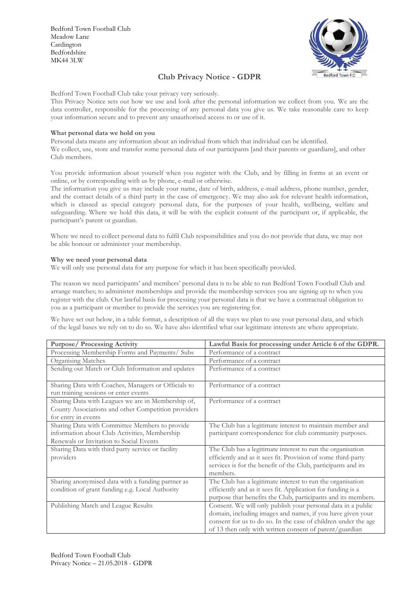Bedford Town Football Club Meadow Lane Cardington Bedfordshire MK44 3LW



# **Club Privacy Notice - GDPR**

Bedford Town Football Club take your privacy very seriously.

This Privacy Notice sets out how we use and look after the personal information we collect from you. We are the data controller, responsible for the processing of any personal data you give us. We take reasonable care to keep your information secure and to prevent any unauthorised access to or use of it.

# **What personal data we hold on you**

Personal data means any information about an individual from which that individual can be identified. We collect, use, store and transfer some personal data of our participants [and their parents or guardians], and other Club members.

You provide information about yourself when you register with the Club, and by filling in forms at an event or online, or by corresponding with us by phone, e-mail or otherwise.

The information you give us may include your name, date of birth, address, e-mail address, phone number, gender, and the contact details of a third party in the case of emergency. We may also ask for relevant health information, which is classed as special category personal data, for the purposes of your health, wellbeing, welfare and safeguarding. Where we hold this data, it will be with the explicit consent of the participant or, if applicable, the participant's parent or guardian.

Where we need to collect personal data to fulfil Club responsibilities and you do not provide that data, we may not be able honour or administer your membership.

# **Why we need your personal data**

We will only use personal data for any purpose for which it has been specifically provided.

The reason we need participants' and members' personal data is to be able to run Bedford Town Football Club and arrange matches; to administer memberships and provide the membership services you are signing up to when you register with the club. Our lawful basis for processing your personal data is that we have a contractual obligation to you as a participant or member to provide the services you are registering for.

We have set out below, in a table format, a description of all the ways we plan to use your personal data, and which of the legal bases we rely on to do so. We have also identified what our legitimate interests are where appropriate.

| <b>Purpose/ Processing Activity</b>                 | Lawful Basis for processing under Article 6 of the GDPR.       |
|-----------------------------------------------------|----------------------------------------------------------------|
| Processing Membership Forms and Payments/ Subs      | Performance of a contract                                      |
| Organising Matches                                  | Performance of a contract                                      |
| Sending out Match or Club Information and updates   | Performance of a contract                                      |
|                                                     |                                                                |
| Sharing Data with Coaches, Managers or Officials to | Performance of a contract                                      |
| run training sessions or enter events               |                                                                |
| Sharing Data with Leagues we are in Membership of,  | Performance of a contract                                      |
| County Associations and other Competition providers |                                                                |
| for entry in events                                 |                                                                |
| Sharing Data with Committee Members to provide      | The Club has a legitimate interest to maintain member and      |
| information about Club Activities, Membership       | participant correspondence for club community purposes.        |
| Renewals or Invitation to Social Events             |                                                                |
| Sharing Data with third party service or facility   | The Club has a legitimate interest to run the organisation     |
| providers                                           | efficiently and as it sees fit. Provision of some third-party  |
|                                                     | services is for the benefit of the Club, participants and its  |
|                                                     | members.                                                       |
| Sharing anonymised data with a funding partner as   | The Club has a legitimate interest to run the organisation     |
| condition of grant funding e.g. Local Authority     | efficiently and as it sees fit. Application for funding is a   |
|                                                     | purpose that benefits the Club, participants and its members.  |
| Publishing Match and League Results                 | Consent. We will only publish your personal data in a public   |
|                                                     | domain, including images and names, if you have given your     |
|                                                     | consent for us to do so. In the case of children under the age |
|                                                     | of 13 then only with written consent of parent/guardian        |